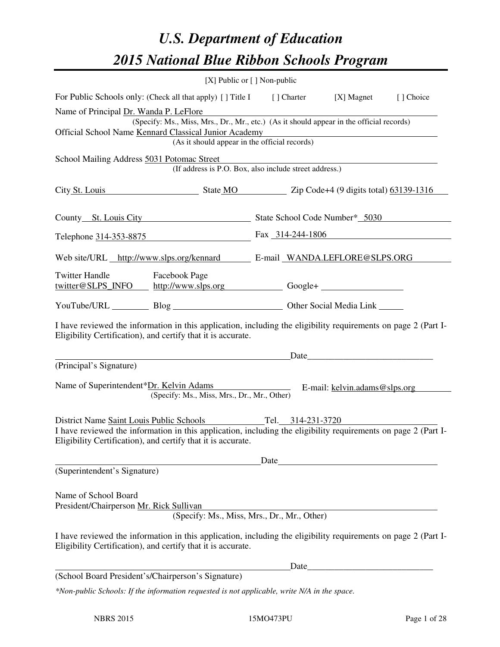# *U.S. Department of Education 2015 National Blue Ribbon Schools Program*

|                                                                                                                                                                                                                                | [X] Public or [] Non-public                                                              |                                                                                                                                                                                                                                |      |           |  |
|--------------------------------------------------------------------------------------------------------------------------------------------------------------------------------------------------------------------------------|------------------------------------------------------------------------------------------|--------------------------------------------------------------------------------------------------------------------------------------------------------------------------------------------------------------------------------|------|-----------|--|
| For Public Schools only: (Check all that apply) [] Title I [] Charter [X] Magnet                                                                                                                                               |                                                                                          |                                                                                                                                                                                                                                |      | [] Choice |  |
| Name of Principal Dr. Wanda P. LeFlore                                                                                                                                                                                         |                                                                                          |                                                                                                                                                                                                                                |      |           |  |
|                                                                                                                                                                                                                                | (Specify: Ms., Miss, Mrs., Dr., Mr., etc.) (As it should appear in the official records) |                                                                                                                                                                                                                                |      |           |  |
| Official School Name Kennard Classical Junior Academy<br><u> 1980 - Johann Barn, mars ann an t-Amhain Aonaich an t-Aonaich an t-Aonaich ann an t-Aonaich ann an t-Aonaich</u><br>(As it should appear in the official records) |                                                                                          |                                                                                                                                                                                                                                |      |           |  |
| School Mailing Address 5031 Potomac Street                                                                                                                                                                                     |                                                                                          |                                                                                                                                                                                                                                |      |           |  |
|                                                                                                                                                                                                                                | (If address is P.O. Box, also include street address.)                                   |                                                                                                                                                                                                                                |      |           |  |
| City St. Louis State MO Zip Code+4 (9 digits total) 63139-1316                                                                                                                                                                 |                                                                                          |                                                                                                                                                                                                                                |      |           |  |
| County St. Louis City State School Code Number* 5030                                                                                                                                                                           |                                                                                          |                                                                                                                                                                                                                                |      |           |  |
| Telephone 314-353-8875                                                                                                                                                                                                         |                                                                                          | Fax 314-244-1806                                                                                                                                                                                                               |      |           |  |
| Web site/URL http://www.slps.org/kennard E-mail WANDA.LEFLORE@SLPS.ORG                                                                                                                                                         |                                                                                          |                                                                                                                                                                                                                                |      |           |  |
| <b>Twitter Handle</b><br><u>twitter@SLPS_INFO http://www.slps.org Google+___________________________________</u>                                                                                                               | <b>Facebook Page</b>                                                                     |                                                                                                                                                                                                                                |      |           |  |
|                                                                                                                                                                                                                                |                                                                                          |                                                                                                                                                                                                                                |      |           |  |
| YouTube/URL Blog Blog Cher Social Media Link                                                                                                                                                                                   |                                                                                          |                                                                                                                                                                                                                                |      |           |  |
| I have reviewed the information in this application, including the eligibility requirements on page 2 (Part I-<br>Eligibility Certification), and certify that it is accurate.                                                 |                                                                                          |                                                                                                                                                                                                                                |      |           |  |
|                                                                                                                                                                                                                                |                                                                                          |                                                                                                                                                                                                                                |      |           |  |
| (Principal's Signature)                                                                                                                                                                                                        |                                                                                          |                                                                                                                                                                                                                                |      |           |  |
| Name of Superintendent*Dr. Kelvin Adams E-mail: kelvin.adams@slps.org                                                                                                                                                          | (Specify: Ms., Miss, Mrs., Dr., Mr., Other)                                              |                                                                                                                                                                                                                                |      |           |  |
| District Name Saint Louis Public Schools Tel. 314-231-3720                                                                                                                                                                     |                                                                                          |                                                                                                                                                                                                                                |      |           |  |
| I have reviewed the information in this application, including the eligibility requirements on page 2 (Part I-<br>Eligibility Certification), and certify that it is accurate.                                                 |                                                                                          |                                                                                                                                                                                                                                |      |           |  |
|                                                                                                                                                                                                                                |                                                                                          | Date and the contract of the contract of the contract of the contract of the contract of the contract of the contract of the contract of the contract of the contract of the contract of the contract of the contract of the c |      |           |  |
| (Superintendent's Signature)                                                                                                                                                                                                   |                                                                                          |                                                                                                                                                                                                                                |      |           |  |
| Name of School Board<br>President/Chairperson Mr. Rick Sullivan                                                                                                                                                                |                                                                                          |                                                                                                                                                                                                                                |      |           |  |
|                                                                                                                                                                                                                                | (Specify: Ms., Miss, Mrs., Dr., Mr., Other)                                              |                                                                                                                                                                                                                                |      |           |  |
| I have reviewed the information in this application, including the eligibility requirements on page 2 (Part I-<br>Eligibility Certification), and certify that it is accurate.                                                 |                                                                                          |                                                                                                                                                                                                                                |      |           |  |
|                                                                                                                                                                                                                                |                                                                                          |                                                                                                                                                                                                                                | Date |           |  |
| (School Board President's/Chairperson's Signature)                                                                                                                                                                             |                                                                                          |                                                                                                                                                                                                                                |      |           |  |
| *Non-public Schools: If the information requested is not applicable, write N/A in the space.                                                                                                                                   |                                                                                          |                                                                                                                                                                                                                                |      |           |  |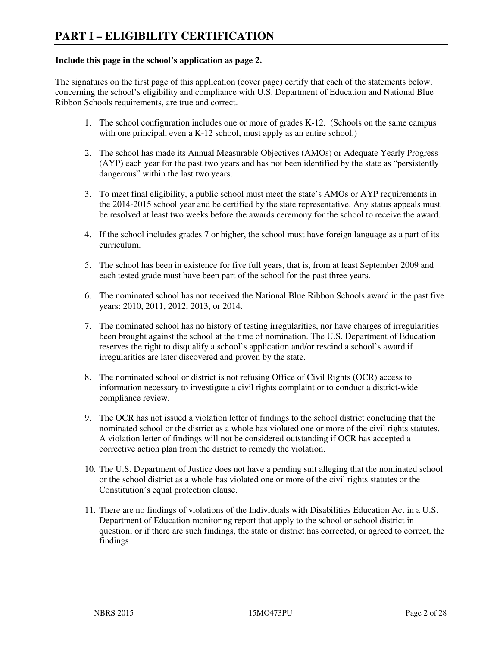#### **Include this page in the school's application as page 2.**

The signatures on the first page of this application (cover page) certify that each of the statements below, concerning the school's eligibility and compliance with U.S. Department of Education and National Blue Ribbon Schools requirements, are true and correct.

- 1. The school configuration includes one or more of grades K-12. (Schools on the same campus with one principal, even a K-12 school, must apply as an entire school.)
- 2. The school has made its Annual Measurable Objectives (AMOs) or Adequate Yearly Progress (AYP) each year for the past two years and has not been identified by the state as "persistently dangerous" within the last two years.
- 3. To meet final eligibility, a public school must meet the state's AMOs or AYP requirements in the 2014-2015 school year and be certified by the state representative. Any status appeals must be resolved at least two weeks before the awards ceremony for the school to receive the award.
- 4. If the school includes grades 7 or higher, the school must have foreign language as a part of its curriculum.
- 5. The school has been in existence for five full years, that is, from at least September 2009 and each tested grade must have been part of the school for the past three years.
- 6. The nominated school has not received the National Blue Ribbon Schools award in the past five years: 2010, 2011, 2012, 2013, or 2014.
- 7. The nominated school has no history of testing irregularities, nor have charges of irregularities been brought against the school at the time of nomination. The U.S. Department of Education reserves the right to disqualify a school's application and/or rescind a school's award if irregularities are later discovered and proven by the state.
- 8. The nominated school or district is not refusing Office of Civil Rights (OCR) access to information necessary to investigate a civil rights complaint or to conduct a district-wide compliance review.
- 9. The OCR has not issued a violation letter of findings to the school district concluding that the nominated school or the district as a whole has violated one or more of the civil rights statutes. A violation letter of findings will not be considered outstanding if OCR has accepted a corrective action plan from the district to remedy the violation.
- 10. The U.S. Department of Justice does not have a pending suit alleging that the nominated school or the school district as a whole has violated one or more of the civil rights statutes or the Constitution's equal protection clause.
- 11. There are no findings of violations of the Individuals with Disabilities Education Act in a U.S. Department of Education monitoring report that apply to the school or school district in question; or if there are such findings, the state or district has corrected, or agreed to correct, the findings.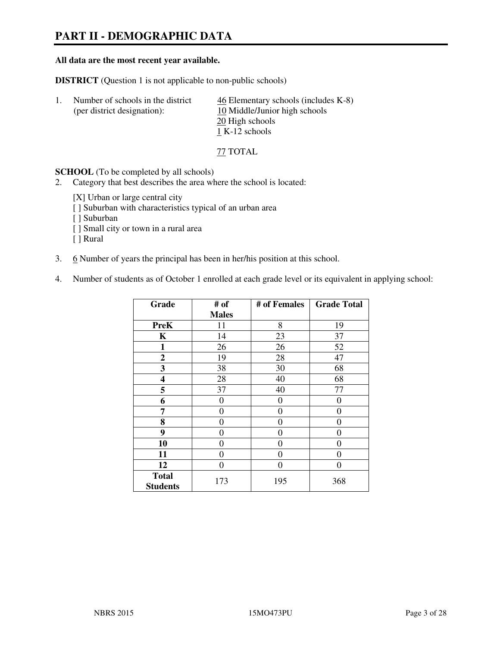# **PART II - DEMOGRAPHIC DATA**

#### **All data are the most recent year available.**

**DISTRICT** (Question 1 is not applicable to non-public schools)

| Number of schools in the district<br>(per district designation): | $\frac{46}{2}$ Elementary schools (includes K-8)<br>10 Middle/Junior high schools |
|------------------------------------------------------------------|-----------------------------------------------------------------------------------|
|                                                                  | 20 High schools                                                                   |
|                                                                  | 1 K-12 schools                                                                    |

77 TOTAL

**SCHOOL** (To be completed by all schools)

- 2. Category that best describes the area where the school is located:
	- [X] Urban or large central city
	- [ ] Suburban with characteristics typical of an urban area
	- [ ] Suburban
	- [ ] Small city or town in a rural area
	- [ ] Rural
- 3. 6 Number of years the principal has been in her/his position at this school.
- 4. Number of students as of October 1 enrolled at each grade level or its equivalent in applying school:

| Grade                           | # of         | # of Females | <b>Grade Total</b> |
|---------------------------------|--------------|--------------|--------------------|
|                                 | <b>Males</b> |              |                    |
| <b>PreK</b>                     | 11           | 8            | 19                 |
| K                               | 14           | 23           | 37                 |
| $\mathbf{1}$                    | 26           | 26           | 52                 |
| $\mathbf{2}$                    | 19           | 28           | 47                 |
| 3                               | 38           | 30           | 68                 |
| 4                               | 28           | 40           | 68                 |
| 5                               | 37           | 40           | 77                 |
| 6                               | 0            | 0            | $\theta$           |
| 7                               | $\theta$     | $\theta$     | 0                  |
| 8                               | 0            | 0            | 0                  |
| 9                               | $\theta$     | 0            | 0                  |
| 10                              | 0            | 0            | 0                  |
| 11                              | 0            | 0            | $\theta$           |
| 12                              | 0            | 0            | 0                  |
| <b>Total</b><br><b>Students</b> | 173          | 195          | 368                |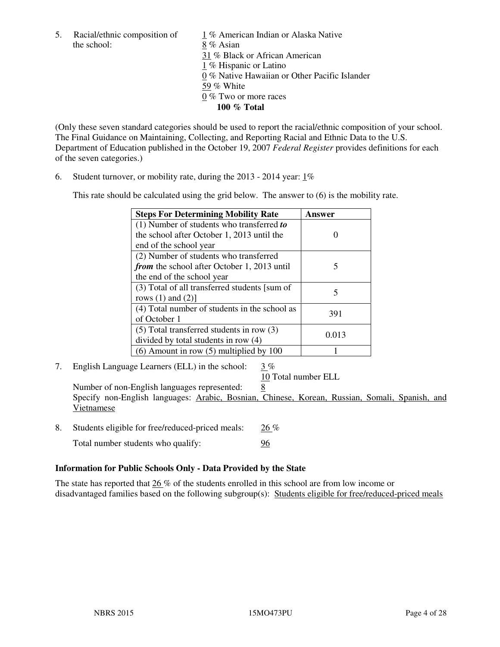the school: 8 % Asian

5. Racial/ethnic composition of 1 % American Indian or Alaska Native 31 % Black or African American 1 % Hispanic or Latino 0 % Native Hawaiian or Other Pacific Islander 59 % White 0 % Two or more races **100 % Total** 

(Only these seven standard categories should be used to report the racial/ethnic composition of your school. The Final Guidance on Maintaining, Collecting, and Reporting Racial and Ethnic Data to the U.S. Department of Education published in the October 19, 2007 *Federal Register* provides definitions for each of the seven categories.)

6. Student turnover, or mobility rate, during the 2013 - 2014 year: 1%

This rate should be calculated using the grid below. The answer to (6) is the mobility rate.

| <b>Steps For Determining Mobility Rate</b>         | Answer |
|----------------------------------------------------|--------|
| $(1)$ Number of students who transferred to        |        |
| the school after October 1, 2013 until the         |        |
| end of the school year                             |        |
| (2) Number of students who transferred             |        |
| <i>from</i> the school after October 1, 2013 until | 5      |
| the end of the school year                         |        |
| (3) Total of all transferred students [sum of      | 5      |
| rows $(1)$ and $(2)$ ]                             |        |
| (4) Total number of students in the school as      | 391    |
| of October 1                                       |        |
| $(5)$ Total transferred students in row $(3)$      | 0.013  |
| divided by total students in row (4)               |        |
| $(6)$ Amount in row $(5)$ multiplied by 100        |        |

7. English Language Learners (ELL) in the school: 3 %

10 Total number ELL

Number of non-English languages represented: 8 Specify non-English languages: Arabic, Bosnian, Chinese, Korean, Russian, Somali, Spanish, and Vietnamese

- 8. Students eligible for free/reduced-priced meals: 26 %
	- Total number students who qualify: 96

### **Information for Public Schools Only - Data Provided by the State**

The state has reported that  $26\%$  of the students enrolled in this school are from low income or disadvantaged families based on the following subgroup(s): Students eligible for free/reduced-priced meals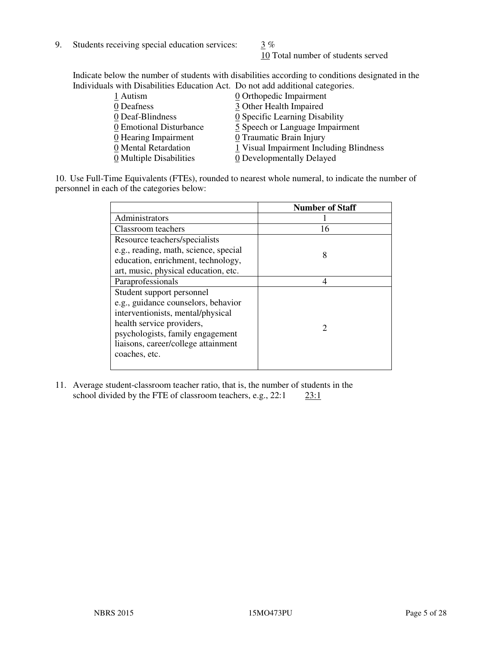9. Students receiving special education services:  $\frac{3}{8}$ %

10 Total number of students served

Indicate below the number of students with disabilities according to conditions designated in the Individuals with Disabilities Education Act. Do not add additional categories.

| 1 Autism                           | 0 Orthopedic Impairment                 |
|------------------------------------|-----------------------------------------|
| 0 Deafness                         | 3 Other Health Impaired                 |
| 0 Deaf-Blindness                   | 0 Specific Learning Disability          |
| 0 Emotional Disturbance            | 5 Speech or Language Impairment         |
| $\underline{0}$ Hearing Impairment | 0 Traumatic Brain Injury                |
| 0 Mental Retardation               | 1 Visual Impairment Including Blindness |
| 0 Multiple Disabilities            | 0 Developmentally Delayed               |
|                                    |                                         |

10. Use Full-Time Equivalents (FTEs), rounded to nearest whole numeral, to indicate the number of personnel in each of the categories below:

|                                       | <b>Number of Staff</b>      |
|---------------------------------------|-----------------------------|
| Administrators                        |                             |
| Classroom teachers                    | 16                          |
| Resource teachers/specialists         |                             |
| e.g., reading, math, science, special | 8                           |
| education, enrichment, technology,    |                             |
| art, music, physical education, etc.  |                             |
| Paraprofessionals                     | 4                           |
| Student support personnel             |                             |
| e.g., guidance counselors, behavior   |                             |
| interventionists, mental/physical     |                             |
| health service providers,             | $\mathcal{D}_{\mathcal{A}}$ |
| psychologists, family engagement      |                             |
| liaisons, career/college attainment   |                             |
| coaches, etc.                         |                             |
|                                       |                             |

11. Average student-classroom teacher ratio, that is, the number of students in the school divided by the FTE of classroom teachers, e.g.,  $22:1$   $23:1$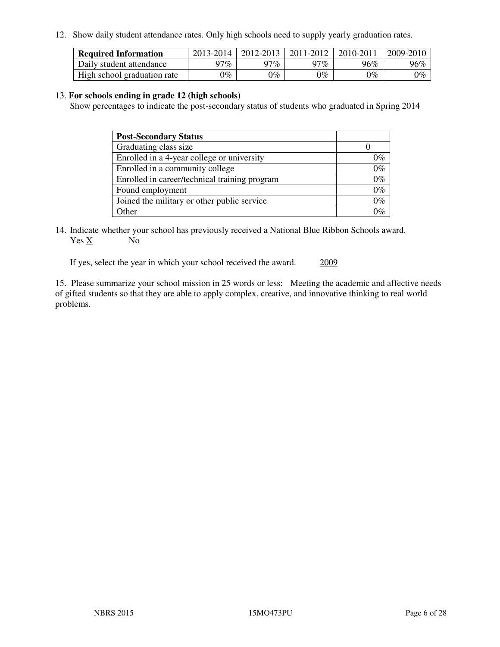12. Show daily student attendance rates. Only high schools need to supply yearly graduation rates.

| <b>Required Information</b> | 2013-2014     | 2012-2013       | 2011-2012 | 2010-2011 | 2009-2010 |
|-----------------------------|---------------|-----------------|-----------|-----------|-----------|
| Daily student attendance    | 97%           | 97%             | $77\%$    | 96%       | 96%       |
| High school graduation rate | $\gamma_{\%}$ | $\mathcal{V}_o$ | $0\%$     | 0%        | 0%        |

#### 13. **For schools ending in grade 12 (high schools)**

Show percentages to indicate the post-secondary status of students who graduated in Spring 2014

| <b>Post-Secondary Status</b>                  |       |
|-----------------------------------------------|-------|
| Graduating class size                         |       |
| Enrolled in a 4-year college or university    | 0%    |
| Enrolled in a community college               | $0\%$ |
| Enrolled in career/technical training program | $0\%$ |
| Found employment                              | $0\%$ |
| Joined the military or other public service   | $0\%$ |
| Other                                         | ነር    |

14. Indicate whether your school has previously received a National Blue Ribbon Schools award. Yes X No

If yes, select the year in which your school received the award. 2009

15. Please summarize your school mission in 25 words or less: Meeting the academic and affective needs of gifted students so that they are able to apply complex, creative, and innovative thinking to real world problems.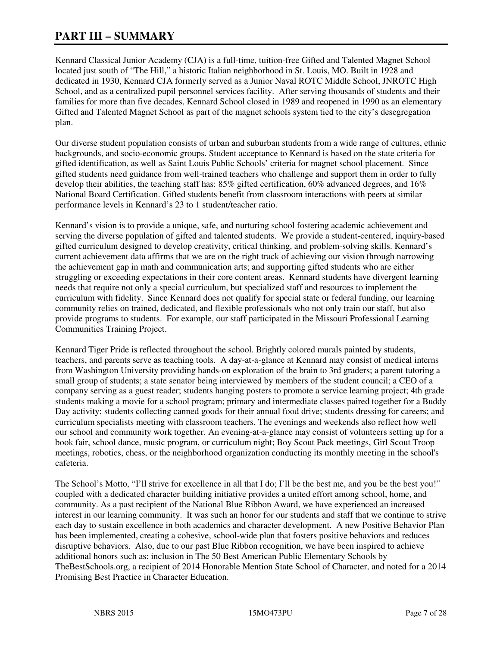# **PART III – SUMMARY**

Kennard Classical Junior Academy (CJA) is a full-time, tuition-free Gifted and Talented Magnet School located just south of "The Hill," a historic Italian neighborhood in St. Louis, MO. Built in 1928 and dedicated in 1930, Kennard CJA formerly served as a Junior Naval ROTC Middle School, JNROTC High School, and as a centralized pupil personnel services facility. After serving thousands of students and their families for more than five decades, Kennard School closed in 1989 and reopened in 1990 as an elementary Gifted and Talented Magnet School as part of the magnet schools system tied to the city's desegregation plan.

Our diverse student population consists of urban and suburban students from a wide range of cultures, ethnic backgrounds, and socio-economic groups. Student acceptance to Kennard is based on the state criteria for gifted identification, as well as Saint Louis Public Schools' criteria for magnet school placement. Since gifted students need guidance from well-trained teachers who challenge and support them in order to fully develop their abilities, the teaching staff has: 85% gifted certification, 60% advanced degrees, and 16% National Board Certification. Gifted students benefit from classroom interactions with peers at similar performance levels in Kennard's 23 to 1 student/teacher ratio.

Kennard's vision is to provide a unique, safe, and nurturing school fostering academic achievement and serving the diverse population of gifted and talented students. We provide a student-centered, inquiry-based gifted curriculum designed to develop creativity, critical thinking, and problem-solving skills. Kennard's current achievement data affirms that we are on the right track of achieving our vision through narrowing the achievement gap in math and communication arts; and supporting gifted students who are either struggling or exceeding expectations in their core content areas. Kennard students have divergent learning needs that require not only a special curriculum, but specialized staff and resources to implement the curriculum with fidelity. Since Kennard does not qualify for special state or federal funding, our learning community relies on trained, dedicated, and flexible professionals who not only train our staff, but also provide programs to students. For example, our staff participated in the Missouri Professional Learning Communities Training Project.

Kennard Tiger Pride is reflected throughout the school. Brightly colored murals painted by students, teachers, and parents serve as teaching tools. A day-at-a-glance at Kennard may consist of medical interns from Washington University providing hands-on exploration of the brain to 3rd graders; a parent tutoring a small group of students; a state senator being interviewed by members of the student council; a CEO of a company serving as a guest reader; students hanging posters to promote a service learning project; 4th grade students making a movie for a school program; primary and intermediate classes paired together for a Buddy Day activity; students collecting canned goods for their annual food drive; students dressing for careers; and curriculum specialists meeting with classroom teachers. The evenings and weekends also reflect how well our school and community work together. An evening-at-a-glance may consist of volunteers setting up for a book fair, school dance, music program, or curriculum night; Boy Scout Pack meetings, Girl Scout Troop meetings, robotics, chess, or the neighborhood organization conducting its monthly meeting in the school's cafeteria.

The School's Motto, "I'll strive for excellence in all that I do; I'll be the best me, and you be the best you!" coupled with a dedicated character building initiative provides a united effort among school, home, and community. As a past recipient of the National Blue Ribbon Award, we have experienced an increased interest in our learning community. It was such an honor for our students and staff that we continue to strive each day to sustain excellence in both academics and character development. A new Positive Behavior Plan has been implemented, creating a cohesive, school-wide plan that fosters positive behaviors and reduces disruptive behaviors. Also, due to our past Blue Ribbon recognition, we have been inspired to achieve additional honors such as: inclusion in The 50 Best American Public Elementary Schools by TheBestSchools.org, a recipient of 2014 Honorable Mention State School of Character, and noted for a 2014 Promising Best Practice in Character Education.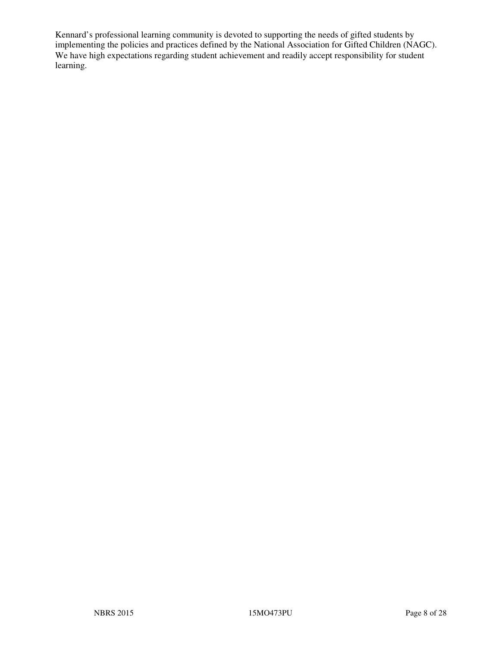Kennard's professional learning community is devoted to supporting the needs of gifted students by implementing the policies and practices defined by the National Association for Gifted Children (NAGC). We have high expectations regarding student achievement and readily accept responsibility for student learning.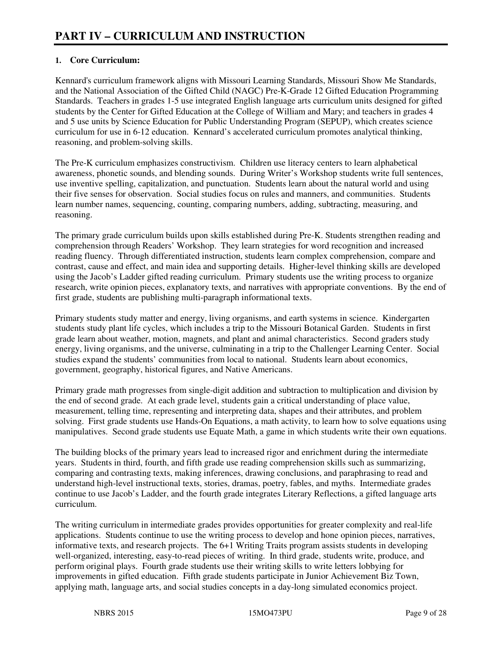### **1. Core Curriculum:**

Kennard's curriculum framework aligns with Missouri Learning Standards, Missouri Show Me Standards, and the National Association of the Gifted Child (NAGC) Pre-K-Grade 12 Gifted Education Programming Standards. Teachers in grades 1-5 use integrated English language arts curriculum units designed for gifted students by the Center for Gifted Education at the College of William and Mary; and teachers in grades 4 and 5 use units by Science Education for Public Understanding Program (SEPUP), which creates science curriculum for use in 6-12 education. Kennard's accelerated curriculum promotes analytical thinking, reasoning, and problem-solving skills.

The Pre-K curriculum emphasizes constructivism. Children use literacy centers to learn alphabetical awareness, phonetic sounds, and blending sounds. During Writer's Workshop students write full sentences, use inventive spelling, capitalization, and punctuation. Students learn about the natural world and using their five senses for observation. Social studies focus on rules and manners, and communities. Students learn number names, sequencing, counting, comparing numbers, adding, subtracting, measuring, and reasoning.

The primary grade curriculum builds upon skills established during Pre-K. Students strengthen reading and comprehension through Readers' Workshop. They learn strategies for word recognition and increased reading fluency. Through differentiated instruction, students learn complex comprehension, compare and contrast, cause and effect, and main idea and supporting details. Higher-level thinking skills are developed using the Jacob's Ladder gifted reading curriculum. Primary students use the writing process to organize research, write opinion pieces, explanatory texts, and narratives with appropriate conventions. By the end of first grade, students are publishing multi-paragraph informational texts.

Primary students study matter and energy, living organisms, and earth systems in science. Kindergarten students study plant life cycles, which includes a trip to the Missouri Botanical Garden. Students in first grade learn about weather, motion, magnets, and plant and animal characteristics. Second graders study energy, living organisms, and the universe, culminating in a trip to the Challenger Learning Center. Social studies expand the students' communities from local to national. Students learn about economics, government, geography, historical figures, and Native Americans.

Primary grade math progresses from single-digit addition and subtraction to multiplication and division by the end of second grade. At each grade level, students gain a critical understanding of place value, measurement, telling time, representing and interpreting data, shapes and their attributes, and problem solving. First grade students use Hands-On Equations, a math activity, to learn how to solve equations using manipulatives. Second grade students use Equate Math, a game in which students write their own equations.

The building blocks of the primary years lead to increased rigor and enrichment during the intermediate years. Students in third, fourth, and fifth grade use reading comprehension skills such as summarizing, comparing and contrasting texts, making inferences, drawing conclusions, and paraphrasing to read and understand high-level instructional texts, stories, dramas, poetry, fables, and myths. Intermediate grades continue to use Jacob's Ladder, and the fourth grade integrates Literary Reflections, a gifted language arts curriculum.

The writing curriculum in intermediate grades provides opportunities for greater complexity and real-life applications. Students continue to use the writing process to develop and hone opinion pieces, narratives, informative texts, and research projects. The 6+1 Writing Traits program assists students in developing well-organized, interesting, easy-to-read pieces of writing. In third grade, students write, produce, and perform original plays. Fourth grade students use their writing skills to write letters lobbying for improvements in gifted education. Fifth grade students participate in Junior Achievement Biz Town, applying math, language arts, and social studies concepts in a day-long simulated economics project.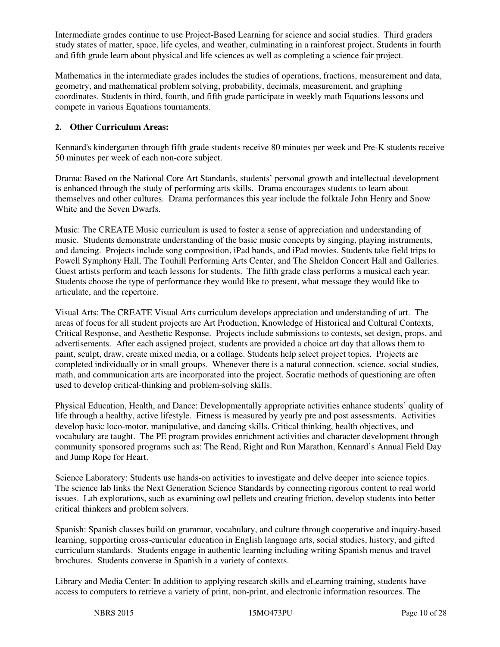Intermediate grades continue to use Project-Based Learning for science and social studies. Third graders study states of matter, space, life cycles, and weather, culminating in a rainforest project. Students in fourth and fifth grade learn about physical and life sciences as well as completing a science fair project.

Mathematics in the intermediate grades includes the studies of operations, fractions, measurement and data, geometry, and mathematical problem solving, probability, decimals, measurement, and graphing coordinates. Students in third, fourth, and fifth grade participate in weekly math Equations lessons and compete in various Equations tournaments.

#### **2. Other Curriculum Areas:**

Kennard's kindergarten through fifth grade students receive 80 minutes per week and Pre-K students receive 50 minutes per week of each non-core subject.

Drama: Based on the National Core Art Standards, students' personal growth and intellectual development is enhanced through the study of performing arts skills. Drama encourages students to learn about themselves and other cultures. Drama performances this year include the folktale John Henry and Snow White and the Seven Dwarfs.

Music: The CREATE Music curriculum is used to foster a sense of appreciation and understanding of music. Students demonstrate understanding of the basic music concepts by singing, playing instruments, and dancing. Projects include song composition, iPad bands, and iPad movies. Students take field trips to Powell Symphony Hall, The Touhill Performing Arts Center, and The Sheldon Concert Hall and Galleries. Guest artists perform and teach lessons for students. The fifth grade class performs a musical each year. Students choose the type of performance they would like to present, what message they would like to articulate, and the repertoire.

Visual Arts: The CREATE Visual Arts curriculum develops appreciation and understanding of art. The areas of focus for all student projects are Art Production, Knowledge of Historical and Cultural Contexts, Critical Response, and Aesthetic Response. Projects include submissions to contests, set design, props, and advertisements. After each assigned project, students are provided a choice art day that allows them to paint, sculpt, draw, create mixed media, or a collage. Students help select project topics. Projects are completed individually or in small groups. Whenever there is a natural connection, science, social studies, math, and communication arts are incorporated into the project. Socratic methods of questioning are often used to develop critical-thinking and problem-solving skills.

Physical Education, Health, and Dance: Developmentally appropriate activities enhance students' quality of life through a healthy, active lifestyle. Fitness is measured by yearly pre and post assessments. Activities develop basic loco-motor, manipulative, and dancing skills. Critical thinking, health objectives, and vocabulary are taught. The PE program provides enrichment activities and character development through community sponsored programs such as: The Read, Right and Run Marathon, Kennard's Annual Field Day and Jump Rope for Heart.

Science Laboratory: Students use hands-on activities to investigate and delve deeper into science topics. The science lab links the Next Generation Science Standards by connecting rigorous content to real world issues. Lab explorations, such as examining owl pellets and creating friction, develop students into better critical thinkers and problem solvers.

Spanish: Spanish classes build on grammar, vocabulary, and culture through cooperative and inquiry-based learning, supporting cross-curricular education in English language arts, social studies, history, and gifted curriculum standards. Students engage in authentic learning including writing Spanish menus and travel brochures. Students converse in Spanish in a variety of contexts.

Library and Media Center: In addition to applying research skills and eLearning training, students have access to computers to retrieve a variety of print, non-print, and electronic information resources. The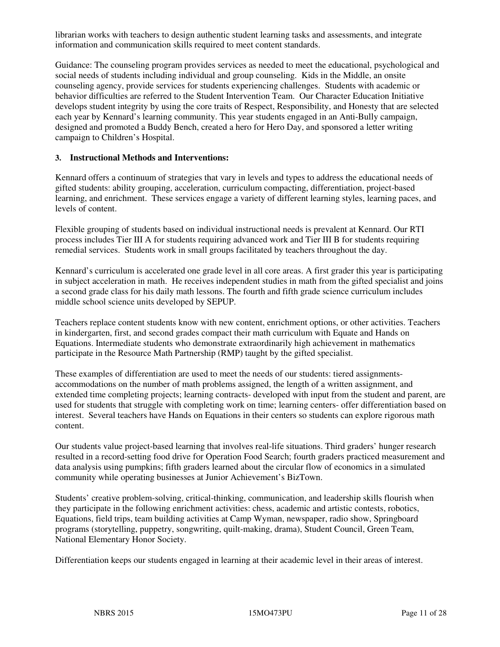librarian works with teachers to design authentic student learning tasks and assessments, and integrate information and communication skills required to meet content standards.

Guidance: The counseling program provides services as needed to meet the educational, psychological and social needs of students including individual and group counseling. Kids in the Middle, an onsite counseling agency, provide services for students experiencing challenges. Students with academic or behavior difficulties are referred to the Student Intervention Team. Our Character Education Initiative develops student integrity by using the core traits of Respect, Responsibility, and Honesty that are selected each year by Kennard's learning community. This year students engaged in an Anti-Bully campaign, designed and promoted a Buddy Bench, created a hero for Hero Day, and sponsored a letter writing campaign to Children's Hospital.

#### **3. Instructional Methods and Interventions:**

Kennard offers a continuum of strategies that vary in levels and types to address the educational needs of gifted students: ability grouping, acceleration, curriculum compacting, differentiation, project-based learning, and enrichment. These services engage a variety of different learning styles, learning paces, and levels of content.

Flexible grouping of students based on individual instructional needs is prevalent at Kennard. Our RTI process includes Tier III A for students requiring advanced work and Tier III B for students requiring remedial services. Students work in small groups facilitated by teachers throughout the day.

Kennard's curriculum is accelerated one grade level in all core areas. A first grader this year is participating in subject acceleration in math. He receives independent studies in math from the gifted specialist and joins a second grade class for his daily math lessons. The fourth and fifth grade science curriculum includes middle school science units developed by SEPUP.

Teachers replace content students know with new content, enrichment options, or other activities. Teachers in kindergarten, first, and second grades compact their math curriculum with Equate and Hands on Equations. Intermediate students who demonstrate extraordinarily high achievement in mathematics participate in the Resource Math Partnership (RMP) taught by the gifted specialist.

These examples of differentiation are used to meet the needs of our students: tiered assignmentsaccommodations on the number of math problems assigned, the length of a written assignment, and extended time completing projects; learning contracts- developed with input from the student and parent, are used for students that struggle with completing work on time; learning centers- offer differentiation based on interest. Several teachers have Hands on Equations in their centers so students can explore rigorous math content.

Our students value project-based learning that involves real-life situations. Third graders' hunger research resulted in a record-setting food drive for Operation Food Search; fourth graders practiced measurement and data analysis using pumpkins; fifth graders learned about the circular flow of economics in a simulated community while operating businesses at Junior Achievement's BizTown.

Students' creative problem-solving, critical-thinking, communication, and leadership skills flourish when they participate in the following enrichment activities: chess, academic and artistic contests, robotics, Equations, field trips, team building activities at Camp Wyman, newspaper, radio show, Springboard programs (storytelling, puppetry, songwriting, quilt-making, drama), Student Council, Green Team, National Elementary Honor Society.

Differentiation keeps our students engaged in learning at their academic level in their areas of interest.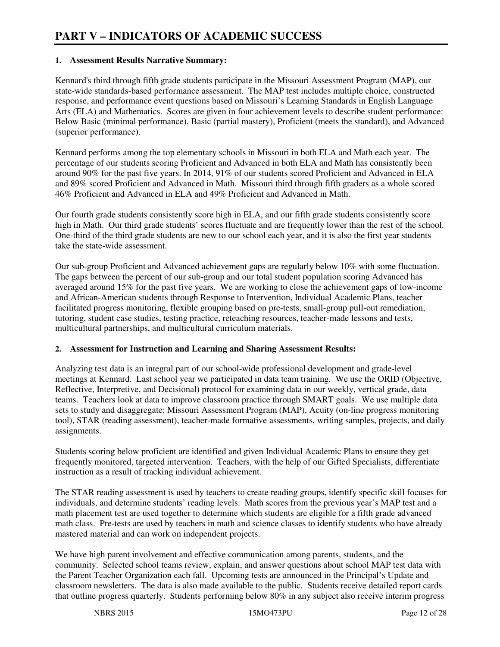#### **1. Assessment Results Narrative Summary:**

Kennard's third through fifth grade students participate in the Missouri Assessment Program (MAP), our state-wide standards-based performance assessment. The MAP test includes multiple choice, constructed response, and performance event questions based on Missouri's Learning Standards in English Language Arts (ELA) and Mathematics. Scores are given in four achievement levels to describe student performance: Below Basic (minimal performance), Basic (partial mastery), Proficient (meets the standard), and Advanced (superior performance).

Kennard performs among the top elementary schools in Missouri in both ELA and Math each year. The percentage of our students scoring Proficient and Advanced in both ELA and Math has consistently been around 90% for the past five years. In 2014, 91% of our students scored Proficient and Advanced in ELA and 89% scored Proficient and Advanced in Math. Missouri third through fifth graders as a whole scored 46% Proficient and Advanced in ELA and 49% Proficient and Advanced in Math.

Our fourth grade students consistently score high in ELA, and our fifth grade students consistently score high in Math. Our third grade students' scores fluctuate and are frequently lower than the rest of the school. One-third of the third grade students are new to our school each year, and it is also the first year students take the state-wide assessment.

Our sub-group Proficient and Advanced achievement gaps are regularly below 10% with some fluctuation. The gaps between the percent of our sub-group and our total student population scoring Advanced has averaged around 15% for the past five years. We are working to close the achievement gaps of low-income and African-American students through Response to Intervention, Individual Academic Plans, teacher facilitated progress monitoring, flexible grouping based on pre-tests, small-group pull-out remediation, tutoring, student case studies, testing practice, reteaching resources, teacher-made lessons and tests, multicultural partnerships, and multicultural curriculum materials.

#### **2. Assessment for Instruction and Learning and Sharing Assessment Results:**

Analyzing test data is an integral part of our school-wide professional development and grade-level meetings at Kennard. Last school year we participated in data team training. We use the ORID (Objective, Reflective, Interpretive, and Decisional) protocol for examining data in our weekly, vertical grade, data teams. Teachers look at data to improve classroom practice through SMART goals. We use multiple data sets to study and disaggregate: Missouri Assessment Program (MAP), Acuity (on-line progress monitoring tool), STAR (reading assessment), teacher-made formative assessments, writing samples, projects, and daily assignments.

Students scoring below proficient are identified and given Individual Academic Plans to ensure they get frequently monitored, targeted intervention. Teachers, with the help of our Gifted Specialists, differentiate instruction as a result of tracking individual achievement.

The STAR reading assessment is used by teachers to create reading groups, identify specific skill focuses for individuals, and determine students' reading levels. Math scores from the previous year's MAP test and a math placement test are used together to determine which students are eligible for a fifth grade advanced math class. Pre-tests are used by teachers in math and science classes to identify students who have already mastered material and can work on independent projects.

We have high parent involvement and effective communication among parents, students, and the community. Selected school teams review, explain, and answer questions about school MAP test data with the Parent Teacher Organization each fall. Upcoming tests are announced in the Principal's Update and classroom newsletters. The data is also made available to the public. Students receive detailed report cards that outline progress quarterly. Students performing below 80% in any subject also receive interim progress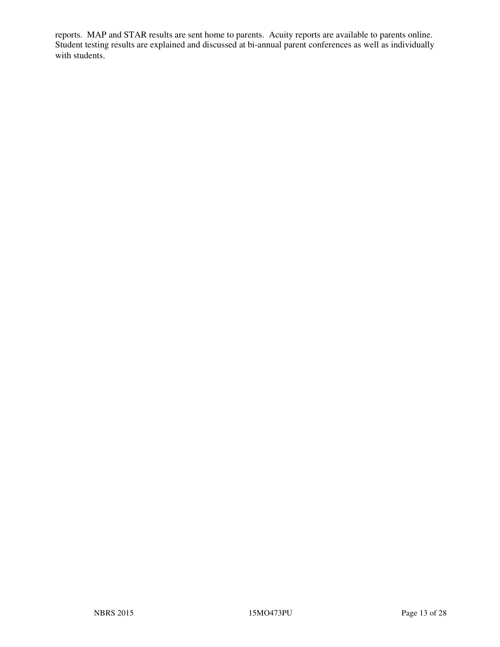reports. MAP and STAR results are sent home to parents. Acuity reports are available to parents online. Student testing results are explained and discussed at bi-annual parent conferences as well as individually with students.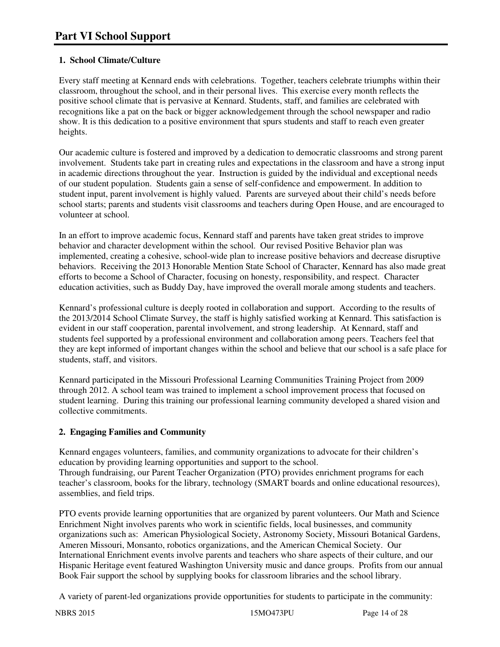### **1. School Climate/Culture**

Every staff meeting at Kennard ends with celebrations. Together, teachers celebrate triumphs within their classroom, throughout the school, and in their personal lives. This exercise every month reflects the positive school climate that is pervasive at Kennard. Students, staff, and families are celebrated with recognitions like a pat on the back or bigger acknowledgement through the school newspaper and radio show. It is this dedication to a positive environment that spurs students and staff to reach even greater heights.

Our academic culture is fostered and improved by a dedication to democratic classrooms and strong parent involvement. Students take part in creating rules and expectations in the classroom and have a strong input in academic directions throughout the year. Instruction is guided by the individual and exceptional needs of our student population. Students gain a sense of self-confidence and empowerment. In addition to student input, parent involvement is highly valued. Parents are surveyed about their child's needs before school starts; parents and students visit classrooms and teachers during Open House, and are encouraged to volunteer at school.

In an effort to improve academic focus, Kennard staff and parents have taken great strides to improve behavior and character development within the school. Our revised Positive Behavior plan was implemented, creating a cohesive, school-wide plan to increase positive behaviors and decrease disruptive behaviors. Receiving the 2013 Honorable Mention State School of Character, Kennard has also made great efforts to become a School of Character, focusing on honesty, responsibility, and respect. Character education activities, such as Buddy Day, have improved the overall morale among students and teachers.

Kennard's professional culture is deeply rooted in collaboration and support. According to the results of the 2013/2014 School Climate Survey, the staff is highly satisfied working at Kennard. This satisfaction is evident in our staff cooperation, parental involvement, and strong leadership. At Kennard, staff and students feel supported by a professional environment and collaboration among peers. Teachers feel that they are kept informed of important changes within the school and believe that our school is a safe place for students, staff, and visitors.

Kennard participated in the Missouri Professional Learning Communities Training Project from 2009 through 2012. A school team was trained to implement a school improvement process that focused on student learning. During this training our professional learning community developed a shared vision and collective commitments.

### **2. Engaging Families and Community**

Kennard engages volunteers, families, and community organizations to advocate for their children's education by providing learning opportunities and support to the school. Through fundraising, our Parent Teacher Organization (PTO) provides enrichment programs for each teacher's classroom, books for the library, technology (SMART boards and online educational resources), assemblies, and field trips.

PTO events provide learning opportunities that are organized by parent volunteers. Our Math and Science Enrichment Night involves parents who work in scientific fields, local businesses, and community organizations such as: American Physiological Society, Astronomy Society, Missouri Botanical Gardens, Ameren Missouri, Monsanto, robotics organizations, and the American Chemical Society. Our International Enrichment events involve parents and teachers who share aspects of their culture, and our Hispanic Heritage event featured Washington University music and dance groups. Profits from our annual Book Fair support the school by supplying books for classroom libraries and the school library.

A variety of parent-led organizations provide opportunities for students to participate in the community:

NBRS 2015 15MO473PU Page 14 of 28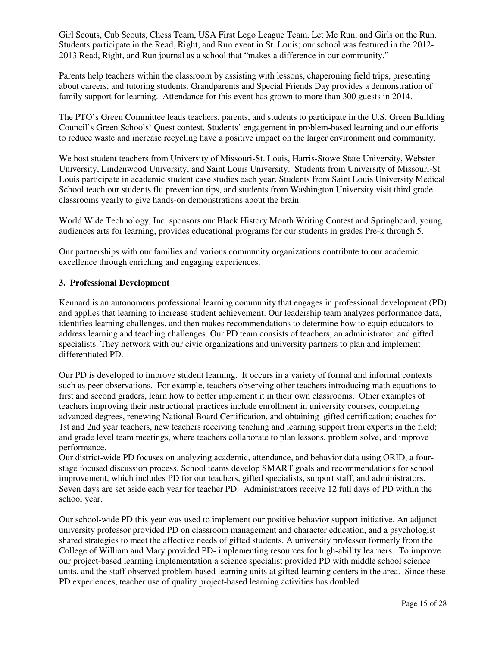Girl Scouts, Cub Scouts, Chess Team, USA First Lego League Team, Let Me Run, and Girls on the Run. Students participate in the Read, Right, and Run event in St. Louis; our school was featured in the 2012- 2013 Read, Right, and Run journal as a school that "makes a difference in our community."

Parents help teachers within the classroom by assisting with lessons, chaperoning field trips, presenting about careers, and tutoring students. Grandparents and Special Friends Day provides a demonstration of family support for learning. Attendance for this event has grown to more than 300 guests in 2014.

The PTO's Green Committee leads teachers, parents, and students to participate in the U.S. Green Building Council's Green Schools' Quest contest. Students' engagement in problem-based learning and our efforts to reduce waste and increase recycling have a positive impact on the larger environment and community.

We host student teachers from University of Missouri-St. Louis, Harris-Stowe State University, Webster University, Lindenwood University, and Saint Louis University. Students from University of Missouri-St. Louis participate in academic student case studies each year. Students from Saint Louis University Medical School teach our students flu prevention tips, and students from Washington University visit third grade classrooms yearly to give hands-on demonstrations about the brain.

World Wide Technology, Inc. sponsors our Black History Month Writing Contest and Springboard, young audiences arts for learning, provides educational programs for our students in grades Pre-k through 5.

Our partnerships with our families and various community organizations contribute to our academic excellence through enriching and engaging experiences.

#### **3. Professional Development**

Kennard is an autonomous professional learning community that engages in professional development (PD) and applies that learning to increase student achievement. Our leadership team analyzes performance data, identifies learning challenges, and then makes recommendations to determine how to equip educators to address learning and teaching challenges. Our PD team consists of teachers, an administrator, and gifted specialists. They network with our civic organizations and university partners to plan and implement differentiated PD.

Our PD is developed to improve student learning. It occurs in a variety of formal and informal contexts such as peer observations. For example, teachers observing other teachers introducing math equations to first and second graders, learn how to better implement it in their own classrooms. Other examples of teachers improving their instructional practices include enrollment in university courses, completing advanced degrees, renewing National Board Certification, and obtaining gifted certification; coaches for 1st and 2nd year teachers, new teachers receiving teaching and learning support from experts in the field; and grade level team meetings, where teachers collaborate to plan lessons, problem solve, and improve performance.

Our district-wide PD focuses on analyzing academic, attendance, and behavior data using ORID, a fourstage focused discussion process. School teams develop SMART goals and recommendations for school improvement, which includes PD for our teachers, gifted specialists, support staff, and administrators. Seven days are set aside each year for teacher PD. Administrators receive 12 full days of PD within the school year.

Our school-wide PD this year was used to implement our positive behavior support initiative. An adjunct university professor provided PD on classroom management and character education, and a psychologist shared strategies to meet the affective needs of gifted students. A university professor formerly from the College of William and Mary provided PD- implementing resources for high-ability learners. To improve our project-based learning implementation a science specialist provided PD with middle school science units, and the staff observed problem-based learning units at gifted learning centers in the area. Since these PD experiences, teacher use of quality project-based learning activities has doubled.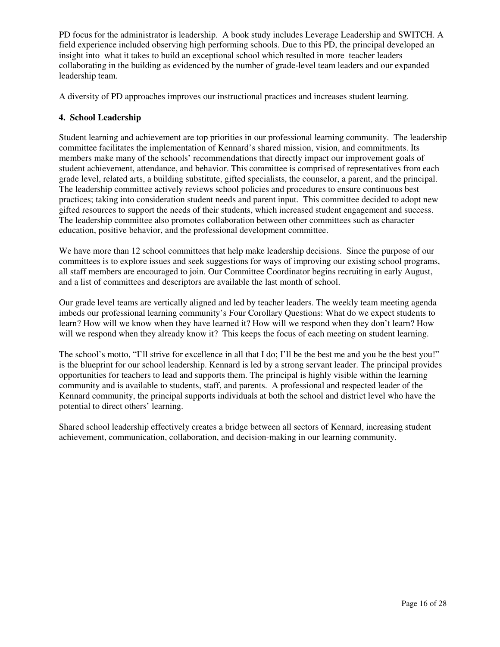PD focus for the administrator is leadership. A book study includes Leverage Leadership and SWITCH. A field experience included observing high performing schools. Due to this PD, the principal developed an insight into what it takes to build an exceptional school which resulted in more teacher leaders collaborating in the building as evidenced by the number of grade-level team leaders and our expanded leadership team.

A diversity of PD approaches improves our instructional practices and increases student learning.

#### **4. School Leadership**

Student learning and achievement are top priorities in our professional learning community. The leadership committee facilitates the implementation of Kennard's shared mission, vision, and commitments. Its members make many of the schools' recommendations that directly impact our improvement goals of student achievement, attendance, and behavior. This committee is comprised of representatives from each grade level, related arts, a building substitute, gifted specialists, the counselor, a parent, and the principal. The leadership committee actively reviews school policies and procedures to ensure continuous best practices; taking into consideration student needs and parent input. This committee decided to adopt new gifted resources to support the needs of their students, which increased student engagement and success. The leadership committee also promotes collaboration between other committees such as character education, positive behavior, and the professional development committee.

We have more than 12 school committees that help make leadership decisions. Since the purpose of our committees is to explore issues and seek suggestions for ways of improving our existing school programs, all staff members are encouraged to join. Our Committee Coordinator begins recruiting in early August, and a list of committees and descriptors are available the last month of school.

Our grade level teams are vertically aligned and led by teacher leaders. The weekly team meeting agenda imbeds our professional learning community's Four Corollary Questions: What do we expect students to learn? How will we know when they have learned it? How will we respond when they don't learn? How will we respond when they already know it? This keeps the focus of each meeting on student learning.

The school's motto, "I'll strive for excellence in all that I do; I'll be the best me and you be the best you!" is the blueprint for our school leadership. Kennard is led by a strong servant leader. The principal provides opportunities for teachers to lead and supports them. The principal is highly visible within the learning community and is available to students, staff, and parents. A professional and respected leader of the Kennard community, the principal supports individuals at both the school and district level who have the potential to direct others' learning.

Shared school leadership effectively creates a bridge between all sectors of Kennard, increasing student achievement, communication, collaboration, and decision-making in our learning community.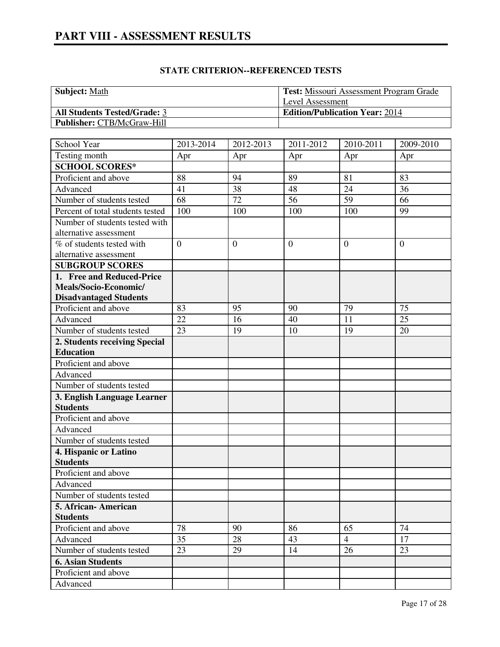| <b>Subject:</b> Math                | <b>Test:</b> Missouri Assessment Program Grade |
|-------------------------------------|------------------------------------------------|
|                                     | Level Assessment                               |
| <b>All Students Tested/Grade: 3</b> | <b>Edition/Publication Year: 2014</b>          |
| <b>Publisher: CTB/McGraw-Hill</b>   |                                                |

| School Year                      | 2013-2014      | 2012-2013    | 2011-2012        | 2010-2011      | 2009-2010      |
|----------------------------------|----------------|--------------|------------------|----------------|----------------|
| Testing month                    | Apr            | Apr          | Apr              | Apr            | Apr            |
| <b>SCHOOL SCORES*</b>            |                |              |                  |                |                |
| Proficient and above             | 88             | 94           | 89               | 81             | 83             |
| Advanced                         | 41             | 38           | 48               | 24             | 36             |
| Number of students tested        | 68             | 72           | 56               | 59             | 66             |
| Percent of total students tested | 100            | 100          | 100              | 100            | 99             |
| Number of students tested with   |                |              |                  |                |                |
| alternative assessment           |                |              |                  |                |                |
| % of students tested with        | $\overline{0}$ | $\mathbf{0}$ | $\boldsymbol{0}$ | $\mathbf{0}$   | $\overline{0}$ |
| alternative assessment           |                |              |                  |                |                |
| <b>SUBGROUP SCORES</b>           |                |              |                  |                |                |
| 1. Free and Reduced-Price        |                |              |                  |                |                |
| Meals/Socio-Economic/            |                |              |                  |                |                |
| <b>Disadvantaged Students</b>    |                |              |                  |                |                |
| Proficient and above             | 83             | 95           | 90               | 79             | 75             |
| Advanced                         | 22             | 16           | 40               | 11             | 25             |
| Number of students tested        | 23             | 19           | 10               | 19             | 20             |
| 2. Students receiving Special    |                |              |                  |                |                |
| <b>Education</b>                 |                |              |                  |                |                |
| Proficient and above             |                |              |                  |                |                |
| Advanced                         |                |              |                  |                |                |
| Number of students tested        |                |              |                  |                |                |
| 3. English Language Learner      |                |              |                  |                |                |
| <b>Students</b>                  |                |              |                  |                |                |
| Proficient and above             |                |              |                  |                |                |
| Advanced                         |                |              |                  |                |                |
| Number of students tested        |                |              |                  |                |                |
| 4. Hispanic or Latino            |                |              |                  |                |                |
| <b>Students</b>                  |                |              |                  |                |                |
| Proficient and above             |                |              |                  |                |                |
| Advanced                         |                |              |                  |                |                |
| Number of students tested        |                |              |                  |                |                |
| 5. African-American              |                |              |                  |                |                |
| <b>Students</b>                  |                |              |                  |                |                |
| Proficient and above             | 78             | 90           | 86               | 65             | 74             |
| Advanced                         | 35             | 28           | 43               | $\overline{4}$ | 17             |
| Number of students tested        | 23             | 29           | 14               | 26             | 23             |
| <b>6. Asian Students</b>         |                |              |                  |                |                |
| Proficient and above             |                |              |                  |                |                |
| Advanced                         |                |              |                  |                |                |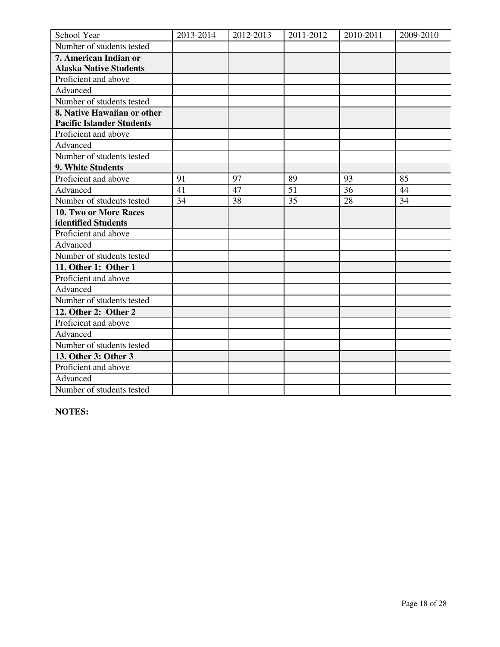| School Year                      | 2013-2014 | 2012-2013 | 2011-2012 | 2010-2011 | 2009-2010 |
|----------------------------------|-----------|-----------|-----------|-----------|-----------|
| Number of students tested        |           |           |           |           |           |
| 7. American Indian or            |           |           |           |           |           |
| <b>Alaska Native Students</b>    |           |           |           |           |           |
| Proficient and above             |           |           |           |           |           |
| Advanced                         |           |           |           |           |           |
| Number of students tested        |           |           |           |           |           |
| 8. Native Hawaiian or other      |           |           |           |           |           |
| <b>Pacific Islander Students</b> |           |           |           |           |           |
| Proficient and above             |           |           |           |           |           |
| Advanced                         |           |           |           |           |           |
| Number of students tested        |           |           |           |           |           |
| 9. White Students                |           |           |           |           |           |
| Proficient and above             | 91        | 97        | 89        | 93        | 85        |
| Advanced                         | 41        | 47        | 51        | 36        | 44        |
| Number of students tested        | 34        | 38        | 35        | 28        | 34        |
| 10. Two or More Races            |           |           |           |           |           |
| identified Students              |           |           |           |           |           |
| Proficient and above             |           |           |           |           |           |
| Advanced                         |           |           |           |           |           |
| Number of students tested        |           |           |           |           |           |
| 11. Other 1: Other 1             |           |           |           |           |           |
| Proficient and above             |           |           |           |           |           |
| Advanced                         |           |           |           |           |           |
| Number of students tested        |           |           |           |           |           |
| 12. Other 2: Other 2             |           |           |           |           |           |
| Proficient and above             |           |           |           |           |           |
| Advanced                         |           |           |           |           |           |
| Number of students tested        |           |           |           |           |           |
| 13. Other 3: Other 3             |           |           |           |           |           |
| Proficient and above             |           |           |           |           |           |
| Advanced                         |           |           |           |           |           |
| Number of students tested        |           |           |           |           |           |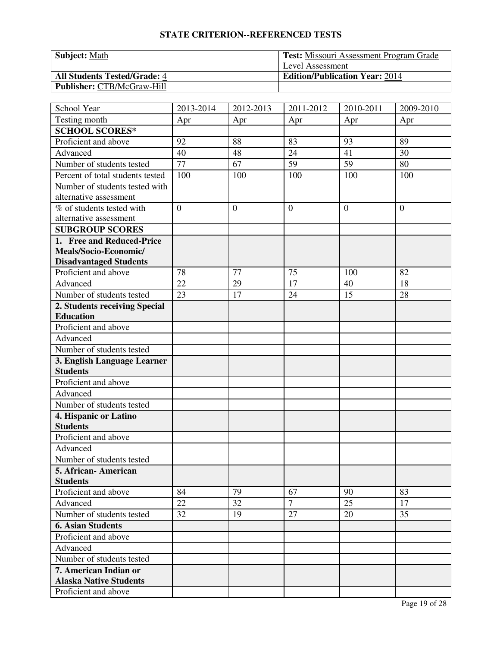| <b>Subject: Math</b>                | <b>Test:</b> Missouri Assessment Program Grade |
|-------------------------------------|------------------------------------------------|
|                                     | Level Assessment                               |
| <b>All Students Tested/Grade: 4</b> | <b>Edition/Publication Year: 2014</b>          |
| <b>Publisher: CTB/McGraw-Hill</b>   |                                                |

| School Year                                            | 2013-2014      | 2012-2013      | 2011-2012            | 2010-2011      | 2009-2010      |
|--------------------------------------------------------|----------------|----------------|----------------------|----------------|----------------|
| Testing month                                          | Apr            | Apr            | Apr                  | Apr            | Apr            |
| <b>SCHOOL SCORES*</b>                                  |                |                |                      |                |                |
| Proficient and above                                   | 92             | 88             | 83                   | 93             | 89             |
| Advanced                                               | 40             | 48             | 24                   | 41             | 30             |
| Number of students tested                              | 77             | 67             | 59                   | 59             | 80             |
| Percent of total students tested                       | 100            | 100            | 100                  | 100            | 100            |
| Number of students tested with                         |                |                |                      |                |                |
| alternative assessment                                 |                |                |                      |                |                |
| % of students tested with                              | $\overline{0}$ | $\overline{0}$ | $\mathbf{0}$         | $\overline{0}$ | $\overline{0}$ |
| alternative assessment                                 |                |                |                      |                |                |
| <b>SUBGROUP SCORES</b>                                 |                |                |                      |                |                |
| 1. Free and Reduced-Price                              |                |                |                      |                |                |
| Meals/Socio-Economic/                                  |                |                |                      |                |                |
| <b>Disadvantaged Students</b>                          |                |                |                      |                |                |
| Proficient and above                                   | 78             | 77             | 75                   | 100            | 82             |
| Advanced                                               | 22             | 29             | 17                   | 40             | 18             |
| Number of students tested                              | 23             | 17             | 24                   | 15             | 28             |
| 2. Students receiving Special                          |                |                |                      |                |                |
| <b>Education</b>                                       |                |                |                      |                |                |
| Proficient and above                                   |                |                |                      |                |                |
| Advanced                                               |                |                |                      |                |                |
| Number of students tested                              |                |                |                      |                |                |
| 3. English Language Learner                            |                |                |                      |                |                |
| <b>Students</b>                                        |                |                |                      |                |                |
| Proficient and above                                   |                |                |                      |                |                |
| Advanced                                               |                |                |                      |                |                |
| Number of students tested                              |                |                |                      |                |                |
| 4. Hispanic or Latino                                  |                |                |                      |                |                |
| <b>Students</b>                                        |                |                |                      |                |                |
| Proficient and above                                   |                |                |                      |                |                |
| Advanced                                               |                |                |                      |                |                |
| Number of students tested                              |                |                |                      |                |                |
| 5. African-American                                    |                |                |                      |                |                |
| <b>Students</b>                                        |                |                |                      |                |                |
| Proficient and above                                   | 84             | 79             | 67<br>$\overline{7}$ | 90             | 83             |
| Advanced                                               | 22             | 32             |                      | 25             | 17             |
| Number of students tested                              | 32             | 19             | 27                   | 20             | 35             |
| <b>6. Asian Students</b>                               |                |                |                      |                |                |
| Proficient and above                                   |                |                |                      |                |                |
| Advanced                                               |                |                |                      |                |                |
| Number of students tested                              |                |                |                      |                |                |
| 7. American Indian or<br><b>Alaska Native Students</b> |                |                |                      |                |                |
| Proficient and above                                   |                |                |                      |                |                |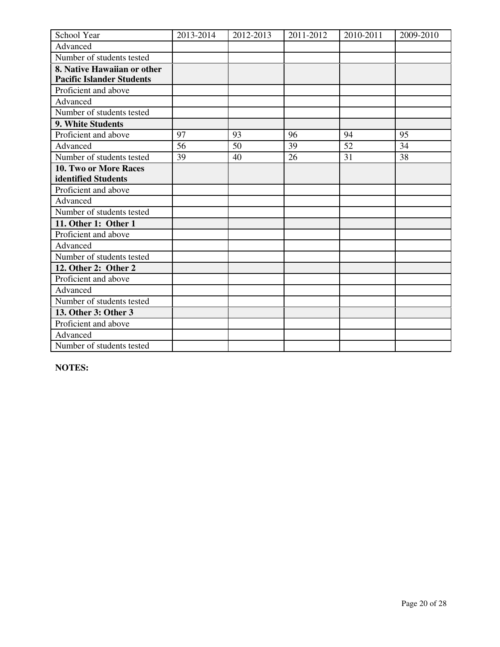| School Year                      | 2013-2014 | 2012-2013 | 2011-2012 | 2010-2011 | 2009-2010 |
|----------------------------------|-----------|-----------|-----------|-----------|-----------|
| Advanced                         |           |           |           |           |           |
| Number of students tested        |           |           |           |           |           |
| 8. Native Hawaiian or other      |           |           |           |           |           |
| <b>Pacific Islander Students</b> |           |           |           |           |           |
| Proficient and above             |           |           |           |           |           |
| Advanced                         |           |           |           |           |           |
| Number of students tested        |           |           |           |           |           |
| 9. White Students                |           |           |           |           |           |
| Proficient and above             | 97        | 93        | 96        | 94        | 95        |
| Advanced                         | 56        | 50        | 39        | 52        | 34        |
| Number of students tested        | 39        | 40        | 26        | 31        | 38        |
| 10. Two or More Races            |           |           |           |           |           |
| identified Students              |           |           |           |           |           |
| Proficient and above             |           |           |           |           |           |
| Advanced                         |           |           |           |           |           |
| Number of students tested        |           |           |           |           |           |
| 11. Other 1: Other 1             |           |           |           |           |           |
| Proficient and above             |           |           |           |           |           |
| Advanced                         |           |           |           |           |           |
| Number of students tested        |           |           |           |           |           |
| 12. Other 2: Other 2             |           |           |           |           |           |
| Proficient and above             |           |           |           |           |           |
| Advanced                         |           |           |           |           |           |
| Number of students tested        |           |           |           |           |           |
| 13. Other 3: Other 3             |           |           |           |           |           |
| Proficient and above             |           |           |           |           |           |
| Advanced                         |           |           |           |           |           |
| Number of students tested        |           |           |           |           |           |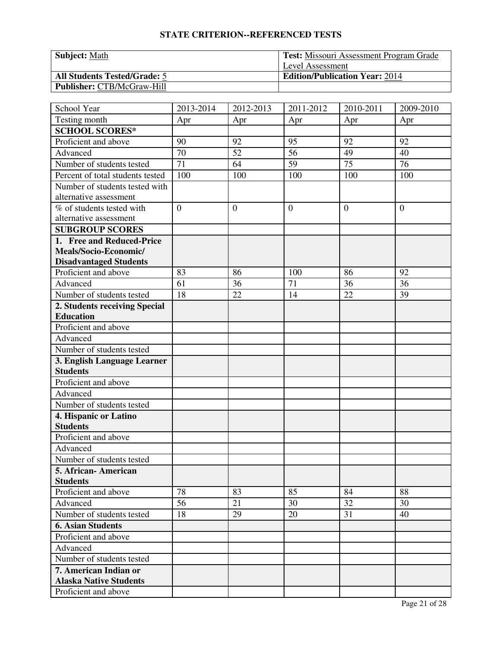| <b>Subject: Math</b>                | <b>Test:</b> Missouri Assessment Program Grade |
|-------------------------------------|------------------------------------------------|
|                                     | Level Assessment                               |
| <b>All Students Tested/Grade: 5</b> | <b>Edition/Publication Year: 2014</b>          |
| <b>Publisher: CTB/McGraw-Hill</b>   |                                                |

| School Year                      | 2013-2014      | 2012-2013 | 2011-2012      | 2010-2011 | 2009-2010      |
|----------------------------------|----------------|-----------|----------------|-----------|----------------|
| Testing month                    | Apr            | Apr       | Apr            | Apr       | Apr            |
| <b>SCHOOL SCORES*</b>            |                |           |                |           |                |
| Proficient and above             | 90             | 92        | 95             | 92        | 92             |
| Advanced                         | 70             | 52        | 56             | 49        | 40             |
| Number of students tested        | 71             | 64        | 59             | 75        | 76             |
| Percent of total students tested | 100            | 100       | 100            | 100       | 100            |
| Number of students tested with   |                |           |                |           |                |
| alternative assessment           |                |           |                |           |                |
| % of students tested with        | $\overline{0}$ | $\theta$  | $\overline{0}$ | $\theta$  | $\overline{0}$ |
| alternative assessment           |                |           |                |           |                |
| <b>SUBGROUP SCORES</b>           |                |           |                |           |                |
| 1. Free and Reduced-Price        |                |           |                |           |                |
| Meals/Socio-Economic/            |                |           |                |           |                |
| <b>Disadvantaged Students</b>    |                |           |                |           |                |
| Proficient and above             | 83             | 86        | 100            | 86        | 92             |
| Advanced                         | 61             | 36        | 71             | 36        | 36             |
| Number of students tested        | 18             | 22        | 14             | 22        | 39             |
| 2. Students receiving Special    |                |           |                |           |                |
| <b>Education</b>                 |                |           |                |           |                |
| Proficient and above             |                |           |                |           |                |
| Advanced                         |                |           |                |           |                |
| Number of students tested        |                |           |                |           |                |
| 3. English Language Learner      |                |           |                |           |                |
| <b>Students</b>                  |                |           |                |           |                |
| Proficient and above             |                |           |                |           |                |
| Advanced                         |                |           |                |           |                |
| Number of students tested        |                |           |                |           |                |
| 4. Hispanic or Latino            |                |           |                |           |                |
| <b>Students</b>                  |                |           |                |           |                |
| Proficient and above             |                |           |                |           |                |
| Advanced                         |                |           |                |           |                |
| Number of students tested        |                |           |                |           |                |
| 5. African- American             |                |           |                |           |                |
| <b>Students</b>                  |                |           |                |           |                |
| Proficient and above             | 78             | 83        | 85             | 84        | 88             |
| Advanced                         | 56             | 21        | 30             | 32        | 30             |
| Number of students tested        | 18             | 29        | 20             | 31        | 40             |
| <b>6. Asian Students</b>         |                |           |                |           |                |
| Proficient and above             |                |           |                |           |                |
| Advanced                         |                |           |                |           |                |
| Number of students tested        |                |           |                |           |                |
| 7. American Indian or            |                |           |                |           |                |
| <b>Alaska Native Students</b>    |                |           |                |           |                |
| Proficient and above             |                |           |                |           |                |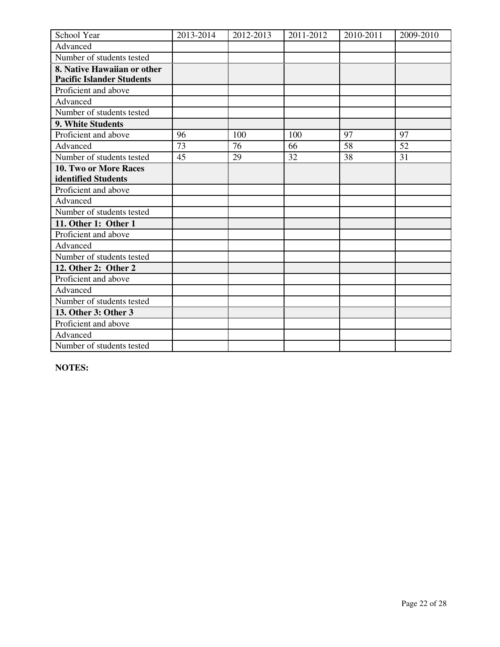| School Year                      | 2013-2014 | 2012-2013 | 2011-2012 | 2010-2011 | 2009-2010 |
|----------------------------------|-----------|-----------|-----------|-----------|-----------|
| Advanced                         |           |           |           |           |           |
| Number of students tested        |           |           |           |           |           |
| 8. Native Hawaiian or other      |           |           |           |           |           |
| <b>Pacific Islander Students</b> |           |           |           |           |           |
| Proficient and above             |           |           |           |           |           |
| Advanced                         |           |           |           |           |           |
| Number of students tested        |           |           |           |           |           |
| 9. White Students                |           |           |           |           |           |
| Proficient and above             | 96        | 100       | 100       | 97        | 97        |
| Advanced                         | 73        | 76        | 66        | 58        | 52        |
| Number of students tested        | 45        | 29        | 32        | 38        | 31        |
| 10. Two or More Races            |           |           |           |           |           |
| identified Students              |           |           |           |           |           |
| Proficient and above             |           |           |           |           |           |
| Advanced                         |           |           |           |           |           |
| Number of students tested        |           |           |           |           |           |
| 11. Other 1: Other 1             |           |           |           |           |           |
| Proficient and above             |           |           |           |           |           |
| Advanced                         |           |           |           |           |           |
| Number of students tested        |           |           |           |           |           |
| 12. Other 2: Other 2             |           |           |           |           |           |
| Proficient and above             |           |           |           |           |           |
| Advanced                         |           |           |           |           |           |
| Number of students tested        |           |           |           |           |           |
| 13. Other 3: Other 3             |           |           |           |           |           |
| Proficient and above             |           |           |           |           |           |
| Advanced                         |           |           |           |           |           |
| Number of students tested        |           |           |           |           |           |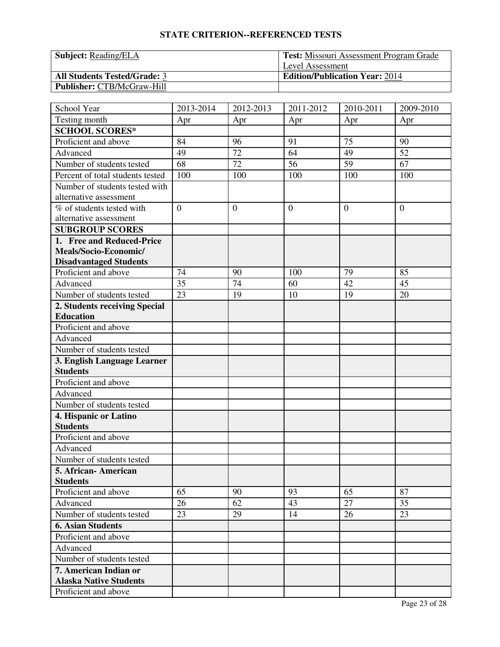| <b>Subject:</b> Reading/ELA         | <b>Test:</b> Missouri Assessment Program Grade |
|-------------------------------------|------------------------------------------------|
|                                     | Level Assessment                               |
| <b>All Students Tested/Grade: 3</b> | <b>Edition/Publication Year: 2014</b>          |
| <b>Publisher: CTB/McGraw-Hill</b>   |                                                |

| School Year                                            | 2013-2014      | 2012-2013        | 2011-2012    | 2010-2011 | 2009-2010      |
|--------------------------------------------------------|----------------|------------------|--------------|-----------|----------------|
| Testing month                                          | Apr            | Apr              | Apr          | Apr       | Apr            |
| <b>SCHOOL SCORES*</b>                                  |                |                  |              |           |                |
| Proficient and above                                   | 84             | 96               | 91           | 75        | 90             |
| Advanced                                               | 49             | 72               | 64           | 49        | 52             |
| Number of students tested                              | 68             | 72               | 56           | 59        | 67             |
| Percent of total students tested                       | 100            | 100              | 100          | 100       | 100            |
| Number of students tested with                         |                |                  |              |           |                |
| alternative assessment                                 |                |                  |              |           |                |
| % of students tested with                              | $\overline{0}$ | $\boldsymbol{0}$ | $\mathbf{0}$ | $\theta$  | $\overline{0}$ |
| alternative assessment                                 |                |                  |              |           |                |
| <b>SUBGROUP SCORES</b>                                 |                |                  |              |           |                |
| 1. Free and Reduced-Price                              |                |                  |              |           |                |
| Meals/Socio-Economic/                                  |                |                  |              |           |                |
| <b>Disadvantaged Students</b>                          |                |                  |              |           |                |
| Proficient and above                                   | 74             | 90               | 100          | 79        | 85             |
| Advanced                                               | 35             | 74               | 60           | 42        | 45             |
| Number of students tested                              | 23             | 19               | 10           | 19        | 20             |
| 2. Students receiving Special                          |                |                  |              |           |                |
| <b>Education</b>                                       |                |                  |              |           |                |
| Proficient and above                                   |                |                  |              |           |                |
| Advanced                                               |                |                  |              |           |                |
| Number of students tested                              |                |                  |              |           |                |
| 3. English Language Learner                            |                |                  |              |           |                |
| <b>Students</b>                                        |                |                  |              |           |                |
| Proficient and above                                   |                |                  |              |           |                |
| Advanced                                               |                |                  |              |           |                |
| Number of students tested                              |                |                  |              |           |                |
| 4. Hispanic or Latino                                  |                |                  |              |           |                |
| <b>Students</b>                                        |                |                  |              |           |                |
| Proficient and above                                   |                |                  |              |           |                |
| Advanced                                               |                |                  |              |           |                |
| Number of students tested                              |                |                  |              |           |                |
| 5. African-American                                    |                |                  |              |           |                |
| <b>Students</b>                                        |                |                  |              |           |                |
| Proficient and above                                   | 65             | 90               | 93           | 65        | 87             |
| Advanced                                               | 26             | 62               | 43           | 27        | 35             |
| Number of students tested                              | 23             | 29               | 14           | 26        | 23             |
| <b>6. Asian Students</b>                               |                |                  |              |           |                |
| Proficient and above                                   |                |                  |              |           |                |
| Advanced                                               |                |                  |              |           |                |
| Number of students tested                              |                |                  |              |           |                |
| 7. American Indian or<br><b>Alaska Native Students</b> |                |                  |              |           |                |
| Proficient and above                                   |                |                  |              |           |                |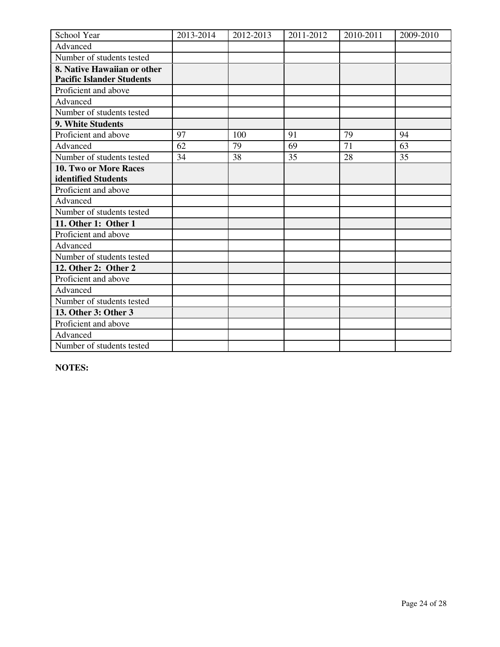| School Year                      | 2013-2014 | 2012-2013 | 2011-2012 | 2010-2011 | 2009-2010 |
|----------------------------------|-----------|-----------|-----------|-----------|-----------|
| Advanced                         |           |           |           |           |           |
| Number of students tested        |           |           |           |           |           |
| 8. Native Hawaiian or other      |           |           |           |           |           |
| <b>Pacific Islander Students</b> |           |           |           |           |           |
| Proficient and above             |           |           |           |           |           |
| Advanced                         |           |           |           |           |           |
| Number of students tested        |           |           |           |           |           |
| 9. White Students                |           |           |           |           |           |
| Proficient and above             | 97        | 100       | 91        | 79        | 94        |
| Advanced                         | 62        | 79        | 69        | 71        | 63        |
| Number of students tested        | 34        | 38        | 35        | 28        | 35        |
| <b>10. Two or More Races</b>     |           |           |           |           |           |
| identified Students              |           |           |           |           |           |
| Proficient and above             |           |           |           |           |           |
| Advanced                         |           |           |           |           |           |
| Number of students tested        |           |           |           |           |           |
| 11. Other 1: Other 1             |           |           |           |           |           |
| Proficient and above             |           |           |           |           |           |
| Advanced                         |           |           |           |           |           |
| Number of students tested        |           |           |           |           |           |
| 12. Other 2: Other 2             |           |           |           |           |           |
| Proficient and above             |           |           |           |           |           |
| Advanced                         |           |           |           |           |           |
| Number of students tested        |           |           |           |           |           |
| 13. Other 3: Other 3             |           |           |           |           |           |
| Proficient and above             |           |           |           |           |           |
| Advanced                         |           |           |           |           |           |
| Number of students tested        |           |           |           |           |           |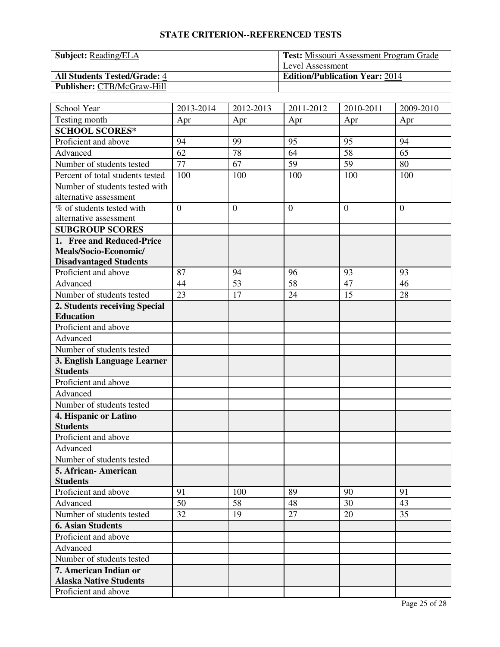| <b>Subject:</b> Reading/ELA         | <b>Test:</b> Missouri Assessment Program Grade |
|-------------------------------------|------------------------------------------------|
|                                     | Level Assessment                               |
| <b>All Students Tested/Grade: 4</b> | <b>Edition/Publication Year: 2014</b>          |
| <b>Publisher: CTB/McGraw-Hill</b>   |                                                |

| School Year                                            | 2013-2014      | 2012-2013        | 2011-2012    | 2010-2011 | 2009-2010      |
|--------------------------------------------------------|----------------|------------------|--------------|-----------|----------------|
| Testing month                                          | Apr            | Apr              | Apr          | Apr       | Apr            |
| <b>SCHOOL SCORES*</b>                                  |                |                  |              |           |                |
| Proficient and above                                   | 94             | 99               | 95           | 95        | 94             |
| Advanced                                               | 62             | 78               | 64           | 58        | 65             |
| Number of students tested                              | 77             | 67               | 59           | 59        | 80             |
| Percent of total students tested                       | 100            | 100              | 100          | 100       | 100            |
| Number of students tested with                         |                |                  |              |           |                |
| alternative assessment                                 |                |                  |              |           |                |
| % of students tested with                              | $\overline{0}$ | $\boldsymbol{0}$ | $\mathbf{0}$ | $\theta$  | $\overline{0}$ |
| alternative assessment                                 |                |                  |              |           |                |
| <b>SUBGROUP SCORES</b>                                 |                |                  |              |           |                |
| 1. Free and Reduced-Price                              |                |                  |              |           |                |
| Meals/Socio-Economic/                                  |                |                  |              |           |                |
| <b>Disadvantaged Students</b>                          |                |                  |              |           |                |
| Proficient and above                                   | 87             | 94               | 96           | 93        | 93             |
| Advanced                                               | 44             | 53               | 58           | 47        | 46             |
| Number of students tested                              | 23             | 17               | 24           | 15        | 28             |
| 2. Students receiving Special                          |                |                  |              |           |                |
| <b>Education</b>                                       |                |                  |              |           |                |
| Proficient and above                                   |                |                  |              |           |                |
| Advanced                                               |                |                  |              |           |                |
| Number of students tested                              |                |                  |              |           |                |
| 3. English Language Learner                            |                |                  |              |           |                |
| <b>Students</b>                                        |                |                  |              |           |                |
| Proficient and above                                   |                |                  |              |           |                |
| Advanced                                               |                |                  |              |           |                |
| Number of students tested                              |                |                  |              |           |                |
| 4. Hispanic or Latino                                  |                |                  |              |           |                |
| <b>Students</b>                                        |                |                  |              |           |                |
| Proficient and above                                   |                |                  |              |           |                |
| Advanced                                               |                |                  |              |           |                |
| Number of students tested                              |                |                  |              |           |                |
| 5. African-American                                    |                |                  |              |           |                |
| <b>Students</b>                                        |                |                  |              |           |                |
| Proficient and above                                   | 91             | 100              | 89           | 90        | 91             |
| Advanced                                               | 50             | 58               | 48           | 30        | 43             |
| Number of students tested                              | 32             | 19               | 27           | 20        | 35             |
| <b>6. Asian Students</b>                               |                |                  |              |           |                |
| Proficient and above                                   |                |                  |              |           |                |
| Advanced                                               |                |                  |              |           |                |
| Number of students tested                              |                |                  |              |           |                |
| 7. American Indian or<br><b>Alaska Native Students</b> |                |                  |              |           |                |
| Proficient and above                                   |                |                  |              |           |                |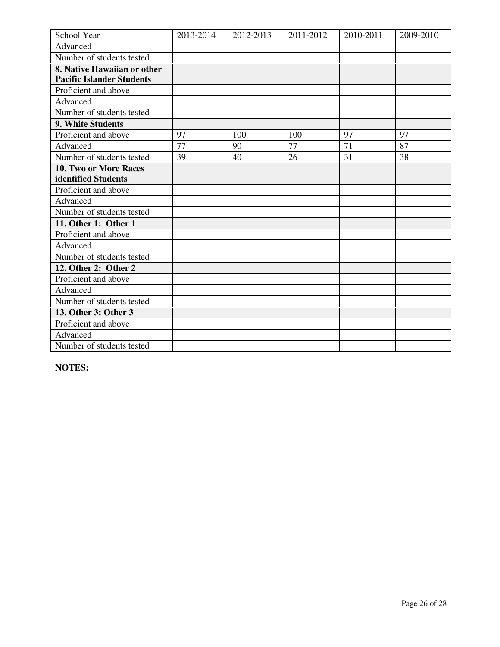| School Year                      | 2013-2014 | 2012-2013 | 2011-2012 | 2010-2011 | 2009-2010 |
|----------------------------------|-----------|-----------|-----------|-----------|-----------|
| Advanced                         |           |           |           |           |           |
| Number of students tested        |           |           |           |           |           |
| 8. Native Hawaiian or other      |           |           |           |           |           |
| <b>Pacific Islander Students</b> |           |           |           |           |           |
| Proficient and above             |           |           |           |           |           |
| Advanced                         |           |           |           |           |           |
| Number of students tested        |           |           |           |           |           |
| 9. White Students                |           |           |           |           |           |
| Proficient and above             | 97        | 100       | 100       | 97        | 97        |
| Advanced                         | 77        | 90        | 77        | 71        | 87        |
| Number of students tested        | 39        | 40        | 26        | 31        | 38        |
| <b>10. Two or More Races</b>     |           |           |           |           |           |
| identified Students              |           |           |           |           |           |
| Proficient and above             |           |           |           |           |           |
| Advanced                         |           |           |           |           |           |
| Number of students tested        |           |           |           |           |           |
| 11. Other 1: Other 1             |           |           |           |           |           |
| Proficient and above             |           |           |           |           |           |
| Advanced                         |           |           |           |           |           |
| Number of students tested        |           |           |           |           |           |
| 12. Other 2: Other 2             |           |           |           |           |           |
| Proficient and above             |           |           |           |           |           |
| Advanced                         |           |           |           |           |           |
| Number of students tested        |           |           |           |           |           |
| 13. Other 3: Other 3             |           |           |           |           |           |
| Proficient and above             |           |           |           |           |           |
| Advanced                         |           |           |           |           |           |
| Number of students tested        |           |           |           |           |           |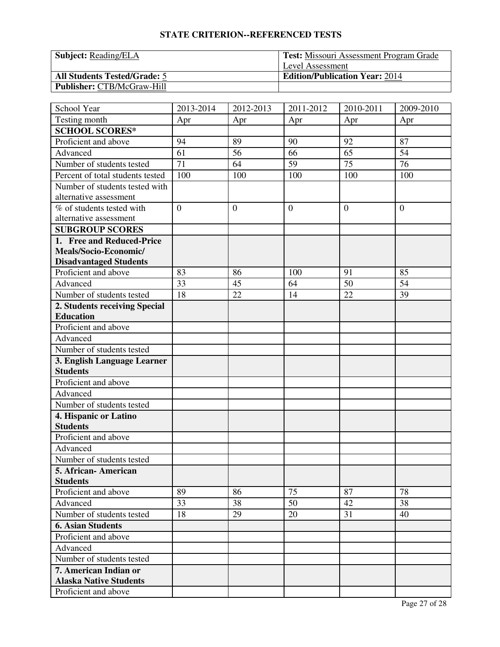| <b>Subject:</b> Reading/ELA         | <b>Test:</b> Missouri Assessment Program Grade |
|-------------------------------------|------------------------------------------------|
|                                     | Level Assessment                               |
| <b>All Students Tested/Grade: 5</b> | <b>Edition/Publication Year: 2014</b>          |
| <b>Publisher: CTB/McGraw-Hill</b>   |                                                |

| School Year                                            | 2013-2014      | 2012-2013        | 2011-2012    | 2010-2011 | 2009-2010      |
|--------------------------------------------------------|----------------|------------------|--------------|-----------|----------------|
| Testing month                                          | Apr            | Apr              | Apr          | Apr       | Apr            |
| <b>SCHOOL SCORES*</b>                                  |                |                  |              |           |                |
| Proficient and above                                   | 94             | 89               | 90           | 92        | 87             |
| Advanced                                               | 61             | 56               | 66           | 65        | 54             |
| Number of students tested                              | 71             | 64               | 59           | 75        | 76             |
| Percent of total students tested                       | 100            | 100              | 100          | 100       | 100            |
| Number of students tested with                         |                |                  |              |           |                |
| alternative assessment                                 |                |                  |              |           |                |
| % of students tested with                              | $\overline{0}$ | $\boldsymbol{0}$ | $\mathbf{0}$ | $\theta$  | $\overline{0}$ |
| alternative assessment                                 |                |                  |              |           |                |
| <b>SUBGROUP SCORES</b>                                 |                |                  |              |           |                |
| 1. Free and Reduced-Price                              |                |                  |              |           |                |
| Meals/Socio-Economic/                                  |                |                  |              |           |                |
| <b>Disadvantaged Students</b>                          |                |                  |              |           |                |
| Proficient and above                                   | 83             | 86               | 100          | 91        | 85             |
| Advanced                                               | 33             | 45               | 64           | 50        | 54             |
| Number of students tested                              | 18             | 22               | 14           | 22        | 39             |
| 2. Students receiving Special                          |                |                  |              |           |                |
| <b>Education</b>                                       |                |                  |              |           |                |
| Proficient and above                                   |                |                  |              |           |                |
| Advanced                                               |                |                  |              |           |                |
| Number of students tested                              |                |                  |              |           |                |
| 3. English Language Learner                            |                |                  |              |           |                |
| <b>Students</b>                                        |                |                  |              |           |                |
| Proficient and above                                   |                |                  |              |           |                |
| Advanced                                               |                |                  |              |           |                |
| Number of students tested                              |                |                  |              |           |                |
| 4. Hispanic or Latino                                  |                |                  |              |           |                |
| <b>Students</b>                                        |                |                  |              |           |                |
| Proficient and above                                   |                |                  |              |           |                |
| Advanced                                               |                |                  |              |           |                |
| Number of students tested                              |                |                  |              |           |                |
| 5. African-American<br><b>Students</b>                 |                |                  |              |           |                |
| Proficient and above                                   | 89             | 86               | 75           | 87        | 78             |
| Advanced                                               | 33             | 38               | 50           | 42        | 38             |
| Number of students tested                              | 18             | 29               | 20           | 31        | 40             |
|                                                        |                |                  |              |           |                |
| <b>6. Asian Students</b>                               |                |                  |              |           |                |
| Proficient and above                                   |                |                  |              |           |                |
| Advanced                                               |                |                  |              |           |                |
| Number of students tested                              |                |                  |              |           |                |
| 7. American Indian or<br><b>Alaska Native Students</b> |                |                  |              |           |                |
| Proficient and above                                   |                |                  |              |           |                |